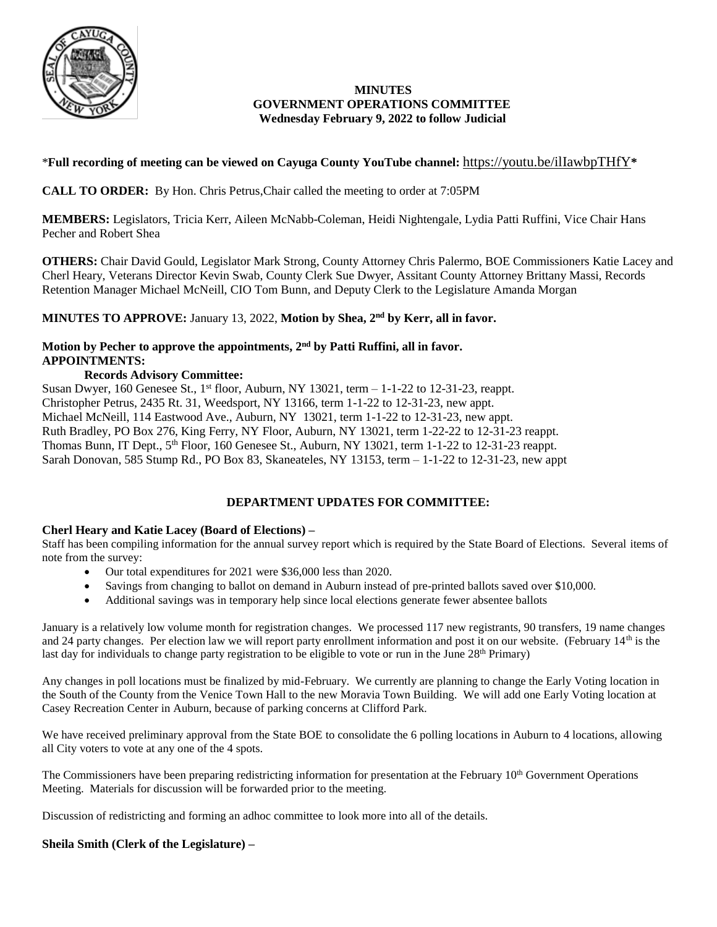

### **MINUTES GOVERNMENT OPERATIONS COMMITTEE Wednesday February 9, 2022 to follow Judicial**

### \***Full recording of meeting can be viewed on Cayuga County YouTube channel:** <https://youtu.be/ilIawbpTHfY>**\***

**CALL TO ORDER:** By Hon. Chris Petrus,Chair called the meeting to order at 7:05PM

**MEMBERS:** Legislators, Tricia Kerr, Aileen McNabb-Coleman, Heidi Nightengale, Lydia Patti Ruffini, Vice Chair Hans Pecher and Robert Shea

**OTHERS:** Chair David Gould, Legislator Mark Strong, County Attorney Chris Palermo, BOE Commissioners Katie Lacey and Cherl Heary, Veterans Director Kevin Swab, County Clerk Sue Dwyer, Assitant County Attorney Brittany Massi, Records Retention Manager Michael McNeill, CIO Tom Bunn, and Deputy Clerk to the Legislature Amanda Morgan

**MINUTES TO APPROVE:** January 13, 2022, **Motion by Shea, 2nd by Kerr, all in favor.** 

#### **Motion by Pecher to approve the appointments, 2nd by Patti Ruffini, all in favor. APPOINTMENTS:**

### **Records Advisory Committee:**

Susan Dwyer, 160 Genesee St., 1<sup>st</sup> floor, Auburn, NY 13021, term  $-1$ -1-22 to 12-31-23, reappt. Christopher Petrus, 2435 Rt. 31, Weedsport, NY 13166, term 1-1-22 to 12-31-23, new appt. Michael McNeill, 114 Eastwood Ave., Auburn, NY 13021, term 1-1-22 to 12-31-23, new appt. Ruth Bradley, PO Box 276, King Ferry, NY Floor, Auburn, NY 13021, term 1-22-22 to 12-31-23 reappt. Thomas Bunn, IT Dept., 5<sup>th</sup> Floor, 160 Genesee St., Auburn, NY 13021, term 1-1-22 to 12-31-23 reappt. Sarah Donovan, 585 Stump Rd., PO Box 83, Skaneateles, NY 13153, term – 1-1-22 to 12-31-23, new appt

# **DEPARTMENT UPDATES FOR COMMITTEE:**

### **Cherl Heary and Katie Lacey (Board of Elections) –**

Staff has been compiling information for the annual survey report which is required by the State Board of Elections. Several items of note from the survey:

- Our total expenditures for 2021 were \$36,000 less than 2020.
- Savings from changing to ballot on demand in Auburn instead of pre-printed ballots saved over \$10,000.
- Additional savings was in temporary help since local elections generate fewer absentee ballots

January is a relatively low volume month for registration changes. We processed 117 new registrants, 90 transfers, 19 name changes and 24 party changes. Per election law we will report party enrollment information and post it on our website. (February 14<sup>th</sup> is the last day for individuals to change party registration to be eligible to vote or run in the June 28<sup>th</sup> Primary)

Any changes in poll locations must be finalized by mid-February. We currently are planning to change the Early Voting location in the South of the County from the Venice Town Hall to the new Moravia Town Building. We will add one Early Voting location at Casey Recreation Center in Auburn, because of parking concerns at Clifford Park.

We have received preliminary approval from the State BOE to consolidate the 6 polling locations in Auburn to 4 locations, allowing all City voters to vote at any one of the 4 spots.

The Commissioners have been preparing redistricting information for presentation at the February 10<sup>th</sup> Government Operations Meeting. Materials for discussion will be forwarded prior to the meeting.

Discussion of redistricting and forming an adhoc committee to look more into all of the details.

## **Sheila Smith (Clerk of the Legislature) –**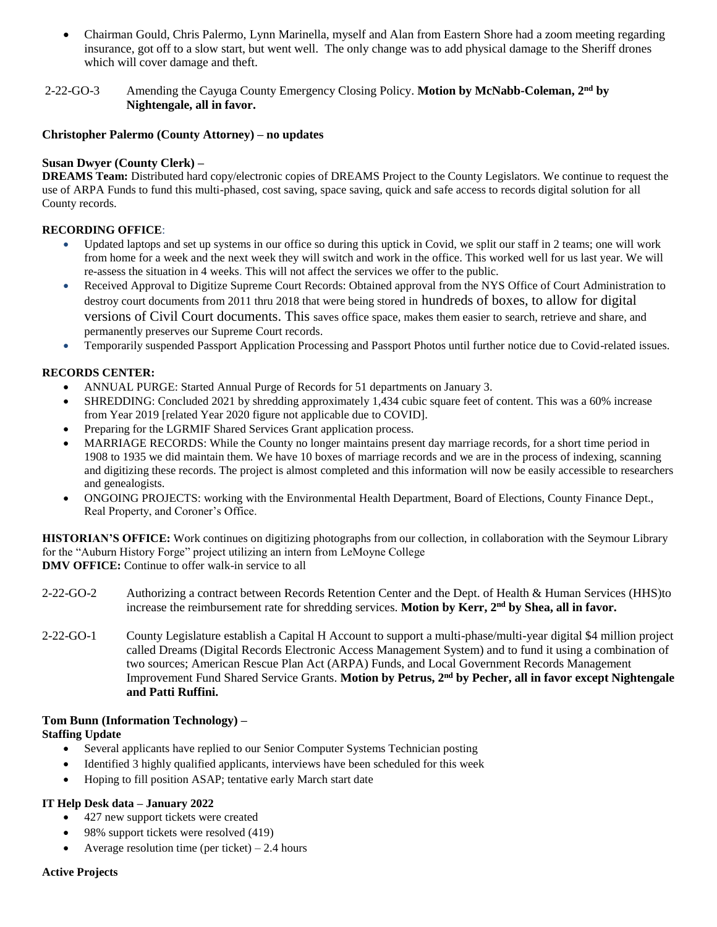Chairman Gould, Chris Palermo, Lynn Marinella, myself and Alan from Eastern Shore had a zoom meeting regarding insurance, got off to a slow start, but went well. The only change was to add physical damage to the Sheriff drones which will cover damage and theft.

### 2-22-GO-3 Amending the Cayuga County Emergency Closing Policy. **Motion by McNabb-Coleman, 2nd by Nightengale, all in favor.**

#### **Christopher Palermo (County Attorney) – no updates**

### **Susan Dwyer (County Clerk) –**

**DREAMS Team:** Distributed hard copy/electronic copies of DREAMS Project to the County Legislators. We continue to request the use of ARPA Funds to fund this multi-phased, cost saving, space saving, quick and safe access to records digital solution for all County records.

### **RECORDING OFFICE**:

- Updated laptops and set up systems in our office so during this uptick in Covid, we split our staff in 2 teams; one will work from home for a week and the next week they will switch and work in the office. This worked well for us last year. We will re-assess the situation in 4 weeks. This will not affect the services we offer to the public.
- Received Approval to Digitize Supreme Court Records: Obtained approval from the NYS Office of Court Administration to destroy court documents from 2011 thru 2018 that were being stored in hundreds of boxes, to allow for digital versions of Civil Court documents. This saves office space, makes them easier to search, retrieve and share, and permanently preserves our Supreme Court records.
- Temporarily suspended Passport Application Processing and Passport Photos until further notice due to Covid-related issues.

### **RECORDS CENTER:**

- ANNUAL PURGE: Started Annual Purge of Records for 51 departments on January 3.
- SHREDDING: Concluded 2021 by shredding approximately 1,434 cubic square feet of content. This was a 60% increase from Year 2019 [related Year 2020 figure not applicable due to COVID].
- Preparing for the LGRMIF Shared Services Grant application process.
- MARRIAGE RECORDS: While the County no longer maintains present day marriage records, for a short time period in 1908 to 1935 we did maintain them. We have 10 boxes of marriage records and we are in the process of indexing, scanning and digitizing these records. The project is almost completed and this information will now be easily accessible to researchers and genealogists.
- ONGOING PROJECTS: working with the Environmental Health Department, Board of Elections, County Finance Dept., Real Property, and Coroner's Office.

**HISTORIAN'S OFFICE:** Work continues on digitizing photographs from our collection, in collaboration with the Seymour Library for the "Auburn History Forge" project utilizing an intern from LeMoyne College **DMV OFFICE:** Continue to offer walk-in service to all

- 2-22-GO-2 Authorizing a contract between Records Retention Center and the Dept. of Health & Human Services (HHS)to increase the reimbursement rate for shredding services. **Motion by Kerr, 2nd by Shea, all in favor.**
- 2-22-GO-1 County Legislature establish a Capital H Account to support a multi-phase/multi-year digital \$4 million project called Dreams (Digital Records Electronic Access Management System) and to fund it using a combination of two sources; American Rescue Plan Act (ARPA) Funds, and Local Government Records Management Improvement Fund Shared Service Grants. **Motion by Petrus, 2nd by Pecher, all in favor except Nightengale and Patti Ruffini.**

### **Tom Bunn (Information Technology) –**

### **Staffing Update**

- Several applicants have replied to our Senior Computer Systems Technician posting
- Identified 3 highly qualified applicants, interviews have been scheduled for this week
- Hoping to fill position ASAP; tentative early March start date

### **IT Help Desk data – January 2022**

- 427 new support tickets were created
- 98% support tickets were resolved (419)
- Average resolution time (per ticket)  $-2.4$  hours

#### **Active Projects**